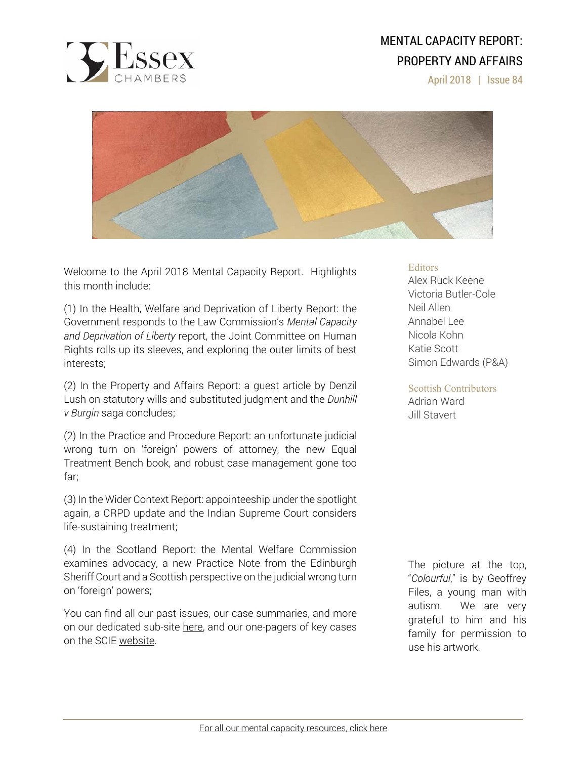

# MENTAL CAPACITY REPORT: PROPERTY AND AFFAIRS

April 2018 | Issue 84



Welcome to the April 2018 Mental Capacity Report. Highlights this month include:

(1) In the Health, Welfare and Deprivation of Liberty Report: the Government responds to the Law Commission's *Mental Capacity and Deprivation of Liberty* report, the Joint Committee on Human Rights rolls up its sleeves, and exploring the outer limits of best interests;

(2) In the Property and Affairs Report: a guest article by Denzil Lush on statutory wills and substituted judgment and the *Dunhill v Burgin* saga concludes;

(2) In the Practice and Procedure Report: an unfortunate judicial wrong turn on 'foreign' powers of attorney, the new Equal Treatment Bench book, and robust case management gone too far;

(3) In the Wider Context Report: appointeeship under the spotlight again, a CRPD update and the Indian Supreme Court considers life-sustaining treatment;

(4) In the Scotland Report: the Mental Welfare Commission examines advocacy, a new Practice Note from the Edinburgh Sheriff Court and a Scottish perspective on the judicial wrong turn on 'foreign' powers;

You can find all our past issues, our case summaries, and more on our dedicated sub-site here, and our one-pagers of key cases on the SCIE website.

### **Editors**

Alex Ruck Keene Victoria Butler-Cole Neil Allen Annabel Lee Nicola Kohn Katie Scott Simon Edwards (P&A)

### Scottish Contributors

Adrian Ward Jill Stavert

The picture at the top, "*Colourful*," is by Geoffrey Files, a young man with autism. We are very grateful to him and his family for permission to use his artwork.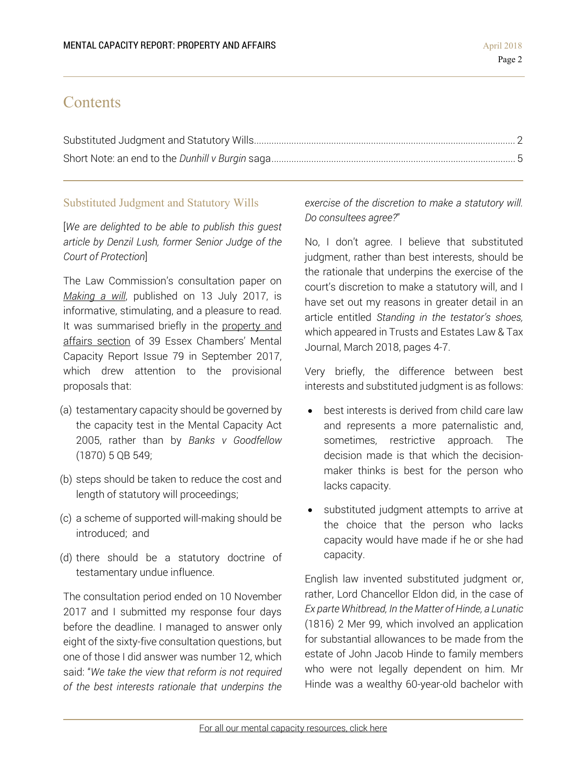## **Contents**

## Substituted Judgment and Statutory Wills

[*We are delighted to be able to publish this guest article by Denzil Lush, former Senior Judge of the Court of Protection*]

The Law Commission's consultation paper on *Making a will*, published on 13 July 2017, is informative, stimulating, and a pleasure to read. It was summarised briefly in the property and affairs section of 39 Essex Chambers' Mental Capacity Report Issue 79 in September 2017, which drew attention to the provisional proposals that:

- (a) testamentary capacity should be governed by the capacity test in the Mental Capacity Act 2005, rather than by *Banks v Goodfellow* (1870) 5 QB 549;
- (b) steps should be taken to reduce the cost and length of statutory will proceedings;
- (c) a scheme of supported will-making should be introduced; and
- (d) there should be a statutory doctrine of testamentary undue influence.

The consultation period ended on 10 November 2017 and I submitted my response four days before the deadline. I managed to answer only eight of the sixty-five consultation questions, but one of those I did answer was number 12, which said: "*We take the view that reform is not required of the best interests rationale that underpins the*  *exercise of the discretion to make a statutory will. Do consultees agree?*"

No, I don't agree. I believe that substituted judgment, rather than best interests, should be the rationale that underpins the exercise of the court's discretion to make a statutory will, and I have set out my reasons in greater detail in an article entitled *Standing in the testator's shoes,*  which appeared in Trusts and Estates Law & Tax Journal, March 2018, pages 4-7.

Very briefly, the difference between best interests and substituted judgment is as follows:

- best interests is derived from child care law and represents a more paternalistic and, sometimes, restrictive approach. The decision made is that which the decisionmaker thinks is best for the person who lacks capacity.
- substituted judgment attempts to arrive at the choice that the person who lacks capacity would have made if he or she had capacity.

English law invented substituted judgment or, rather, Lord Chancellor Eldon did, in the case of *Ex parte Whitbread, In the Matter of Hinde, a Lunatic* (1816) 2 Mer 99, which involved an application for substantial allowances to be made from the estate of John Jacob Hinde to family members who were not legally dependent on him. Mr Hinde was a wealthy 60-year-old bachelor with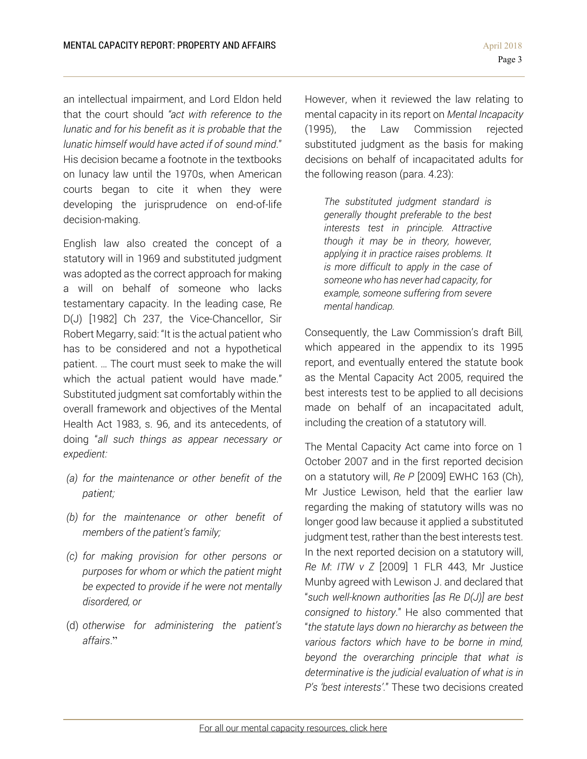an intellectual impairment, and Lord Eldon held that the court should *"act with reference to the lunatic and for his benefit as it is probable that the lunatic himself would have acted if of sound mind*." His decision became a footnote in the textbooks on lunacy law until the 1970s, when American courts began to cite it when they were developing the jurisprudence on end-of-life decision-making.

English law also created the concept of a statutory will in 1969 and substituted judgment was adopted as the correct approach for making a will on behalf of someone who lacks testamentary capacity. In the leading case, Re D(J) [1982] Ch 237, the Vice-Chancellor, Sir Robert Megarry, said: "It is the actual patient who has to be considered and not a hypothetical patient. … The court must seek to make the will which the actual patient would have made." Substituted judgment sat comfortably within the overall framework and objectives of the Mental Health Act 1983, s. 96, and its antecedents, of doing "*all such things as appear necessary or expedient:* 

- *(a) for the maintenance or other benefit of the patient;*
- *(b) for the maintenance or other benefit of members of the patient's family;*
- *(c) for making provision for other persons or purposes for whom or which the patient might be expected to provide if he were not mentally disordered, or*
- (d) *otherwise for administering the patient's affairs*."

However, when it reviewed the law relating to mental capacity in its report on *Mental Incapacity* (1995), the Law Commission rejected substituted judgment as the basis for making decisions on behalf of incapacitated adults for the following reason (para. 4.23):

*The substituted judgment standard is generally thought preferable to the best interests test in principle. Attractive though it may be in theory, however, applying it in practice raises problems. It is more difficult to apply in the case of someone who has never had capacity, for example, someone suffering from severe mental handicap.* 

Consequently, the Law Commission's draft Bill*,* which appeared in the appendix to its 1995 report, and eventually entered the statute book as the Mental Capacity Act 2005, required the best interests test to be applied to all decisions made on behalf of an incapacitated adult, including the creation of a statutory will.

The Mental Capacity Act came into force on 1 October 2007 and in the first reported decision on a statutory will, *Re P* [2009] EWHC 163 (Ch), Mr Justice Lewison, held that the earlier law regarding the making of statutory wills was no longer good law because it applied a substituted judgment test, rather than the best interests test. In the next reported decision on a statutory will, *Re M*: *ITW v Z* [2009] 1 FLR 443, Mr Justice Munby agreed with Lewison J. and declared that "*such well-known authorities [as Re D(J)] are best consigned to history*." He also commented that "*the statute lays down no hierarchy as between the various factors which have to be borne in mind, beyond the overarching principle that what is determinative is the judicial evaluation of what is in P's 'best interests'*." These two decisions created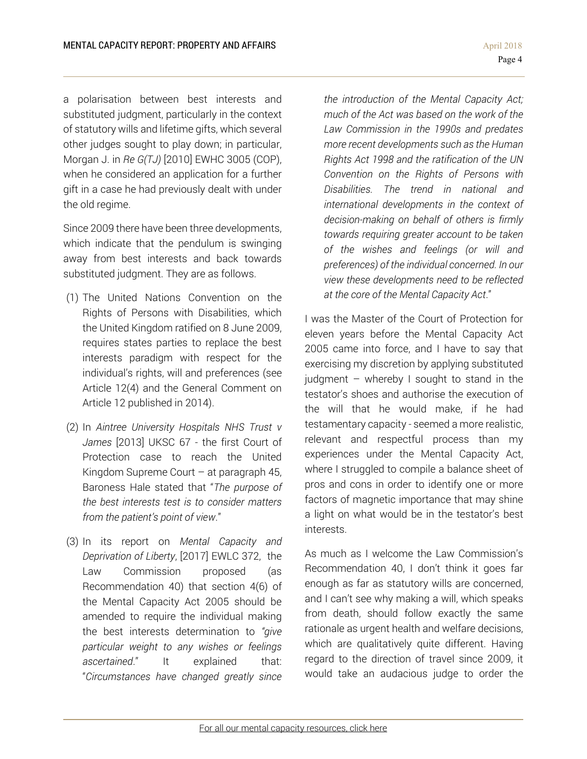a polarisation between best interests and substituted judgment, particularly in the context of statutory wills and lifetime gifts, which several other judges sought to play down; in particular, Morgan J. in *Re G(TJ)* [2010] EWHC 3005 (COP), when he considered an application for a further gift in a case he had previously dealt with under the old regime.

Since 2009 there have been three developments, which indicate that the pendulum is swinging away from best interests and back towards substituted judgment. They are as follows.

- (1) The United Nations Convention on the Rights of Persons with Disabilities, which the United Kingdom ratified on 8 June 2009, requires states parties to replace the best interests paradigm with respect for the individual's rights, will and preferences (see Article 12(4) and the General Comment on Article 12 published in 2014).
- (2) In *Aintree University Hospitals NHS Trust v James* [2013] UKSC 67 - the first Court of Protection case to reach the United Kingdom Supreme Court – at paragraph 45, Baroness Hale stated that "*The purpose of the best interests test is to consider matters from the patient's point of view*."
- (3) In its report on *Mental Capacity and Deprivation of Liberty*, [2017] EWLC 372, the Law Commission proposed (as Recommendation 40) that section 4(6) of the Mental Capacity Act 2005 should be amended to require the individual making the best interests determination to *"give particular weight to any wishes or feelings ascertained*." It explained that: "*Circumstances have changed greatly since*

*the introduction of the Mental Capacity Act; much of the Act was based on the work of the Law Commission in the 1990s and predates more recent developments such as the Human Rights Act 1998 and the ratification of the UN Convention on the Rights of Persons with Disabilities. The trend in national and international developments in the context of decision-making on behalf of others is firmly towards requiring greater account to be taken of the wishes and feelings (or will and preferences) of the individual concerned. In our view these developments need to be reflected at the core of the Mental Capacity Act*."

I was the Master of the Court of Protection for eleven years before the Mental Capacity Act 2005 came into force, and I have to say that exercising my discretion by applying substituted judgment – whereby I sought to stand in the testator's shoes and authorise the execution of the will that he would make, if he had testamentary capacity - seemed a more realistic, relevant and respectful process than my experiences under the Mental Capacity Act, where I struggled to compile a balance sheet of pros and cons in order to identify one or more factors of magnetic importance that may shine a light on what would be in the testator's best interests.

As much as I welcome the Law Commission's Recommendation 40, I don't think it goes far enough as far as statutory wills are concerned, and I can't see why making a will, which speaks from death, should follow exactly the same rationale as urgent health and welfare decisions, which are qualitatively quite different. Having regard to the direction of travel since 2009, it would take an audacious judge to order the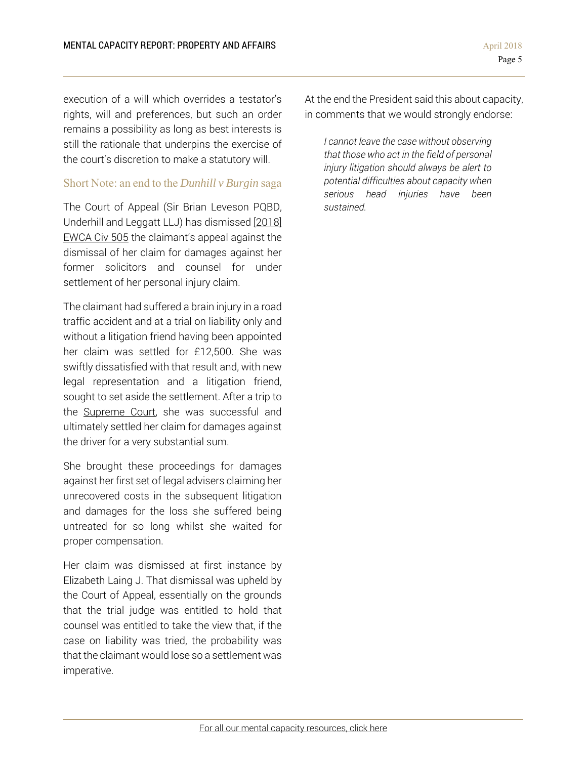execution of a will which overrides a testator's rights, will and preferences, but such an order remains a possibility as long as best interests is still the rationale that underpins the exercise of the court's discretion to make a statutory will.

### Short Note: an end to the *Dunhill v Burgin* saga

The Court of Appeal (Sir Brian Leveson PQBD, Underhill and Leggatt LLJ) has dismissed [2018] EWCA Civ 505 the claimant's appeal against the dismissal of her claim for damages against her former solicitors and counsel for under settlement of her personal injury claim.

The claimant had suffered a brain injury in a road traffic accident and at a trial on liability only and without a litigation friend having been appointed her claim was settled for £12,500. She was swiftly dissatisfied with that result and, with new legal representation and a litigation friend, sought to set aside the settlement. After a trip to the Supreme Court, she was successful and ultimately settled her claim for damages against the driver for a very substantial sum.

She brought these proceedings for damages against her first set of legal advisers claiming her unrecovered costs in the subsequent litigation and damages for the loss she suffered being untreated for so long whilst she waited for proper compensation.

Her claim was dismissed at first instance by Elizabeth Laing J. That dismissal was upheld by the Court of Appeal, essentially on the grounds that the trial judge was entitled to hold that counsel was entitled to take the view that, if the case on liability was tried, the probability was that the claimant would lose so a settlement was imperative.

At the end the President said this about capacity, in comments that we would strongly endorse:

*I cannot leave the case without observing that those who act in the field of personal injury litigation should always be alert to potential difficulties about capacity when serious head injuries have been sustained.*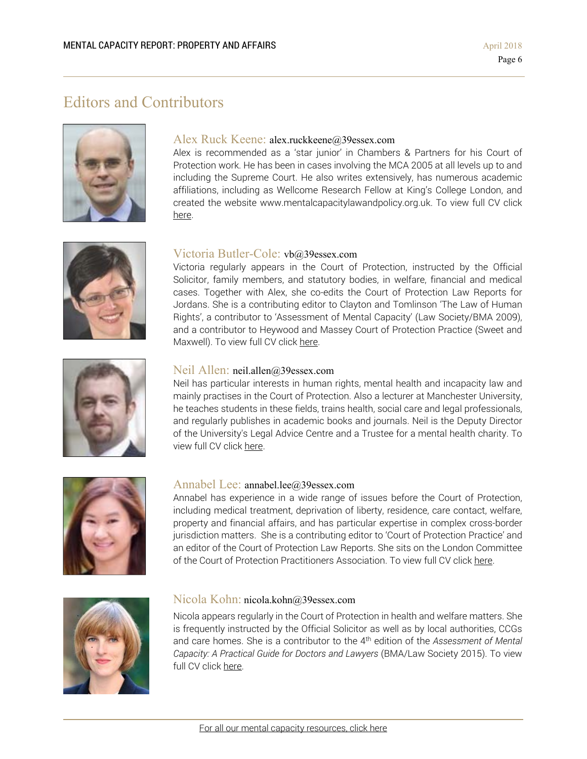# Editors and Contributors



### Alex Ruck Keene: alex.ruckkeene@39essex.com

Alex is recommended as a 'star junior' in Chambers & Partners for his Court of Protection work. He has been in cases involving the MCA 2005 at all levels up to and including the Supreme Court. He also writes extensively, has numerous academic affiliations, including as Wellcome Research Fellow at King's College London, and created the website www.mentalcapacitylawandpolicy.org.uk. To view full CV click here.



### Victoria Butler-Cole: vb@39essex.com

Victoria regularly appears in the Court of Protection, instructed by the Official Solicitor, family members, and statutory bodies, in welfare, financial and medical cases. Together with Alex, she co-edits the Court of Protection Law Reports for Jordans. She is a contributing editor to Clayton and Tomlinson 'The Law of Human Rights', a contributor to 'Assessment of Mental Capacity' (Law Society/BMA 2009), and a contributor to Heywood and Massey Court of Protection Practice (Sweet and Maxwell). To view full CV click here.



### Neil Allen: neil.allen@39essex.com

Neil has particular interests in human rights, mental health and incapacity law and mainly practises in the Court of Protection. Also a lecturer at Manchester University, he teaches students in these fields, trains health, social care and legal professionals, and regularly publishes in academic books and journals. Neil is the Deputy Director of the University's Legal Advice Centre and a Trustee for a mental health charity. To view full CV click here.



### Annabel Lee: annabel.lee@39essex.com

Annabel has experience in a wide range of issues before the Court of Protection, including medical treatment, deprivation of liberty, residence, care contact, welfare, property and financial affairs, and has particular expertise in complex cross-border jurisdiction matters. She is a contributing editor to 'Court of Protection Practice' and an editor of the Court of Protection Law Reports. She sits on the London Committee of the Court of Protection Practitioners Association. To view full CV click here.



### Nicola Kohn: nicola.kohn@39essex.com

Nicola appears regularly in the Court of Protection in health and welfare matters. She is frequently instructed by the Official Solicitor as well as by local authorities, CCGs and care homes. She is a contributor to the 4th edition of the *Assessment of Mental Capacity: A Practical Guide for Doctors and Lawyers* (BMA/Law Society 2015). To view full CV click here.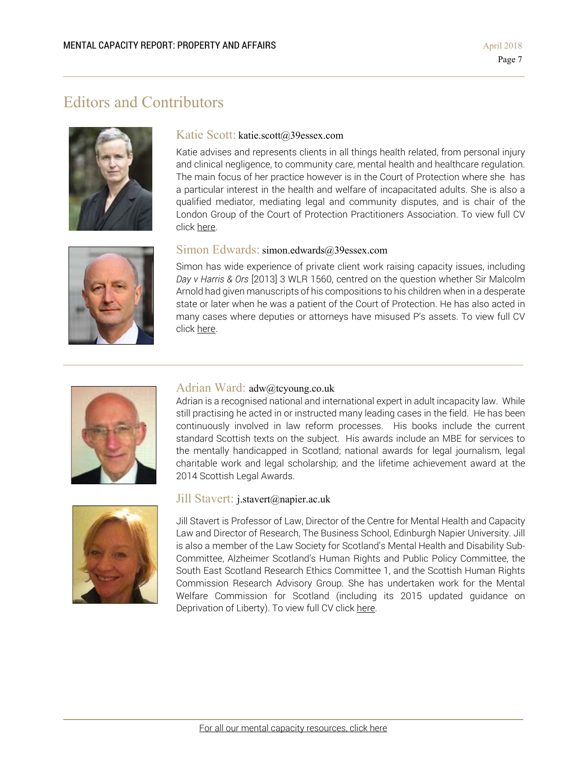# Editors and Contributors



### Katie Scott: katie.scott@39essex.com

Katie advises and represents clients in all things health related, from personal injury and clinical negligence, to community care, mental health and healthcare regulation. The main focus of her practice however is in the Court of Protection where she has a particular interest in the health and welfare of incapacitated adults. She is also a qualified mediator, mediating legal and community disputes, and is chair of the London Group of the Court of Protection Practitioners Association. To view full CV click here.



Simon has wide experience of private client work raising capacity issues, including *Day v Harris & Ors* [2013] 3 WLR 1560, centred on the question whether Sir Malcolm Arnold had given manuscripts of his compositions to his children when in a desperate state or later when he was a patient of the Court of Protection. He has also acted in many cases where deputies or attorneys have misused P's assets. To view full CV click here.



### Adrian Ward: adw@tcyoung.co.uk

Adrian is a recognised national and international expert in adult incapacity law. While still practising he acted in or instructed many leading cases in the field. He has been continuously involved in law reform processes. His books include the current standard Scottish texts on the subject. His awards include an MBE for services to the mentally handicapped in Scotland; national awards for legal journalism, legal charitable work and legal scholarship; and the lifetime achievement award at the 2014 Scottish Legal Awards.



### Jill Stavert: j.stavert@napier.ac.uk

Jill Stavert is Professor of Law, Director of the Centre for Mental Health and Capacity Law and Director of Research, The Business School, Edinburgh Napier University. Jill is also a member of the Law Society for Scotland's Mental Health and Disability Sub-Committee, Alzheimer Scotland's Human Rights and Public Policy Committee, the South East Scotland Research Ethics Committee 1, and the Scottish Human Rights Commission Research Advisory Group. She has undertaken work for the Mental Welfare Commission for Scotland (including its 2015 updated guidance on Deprivation of Liberty). To view full CV click here.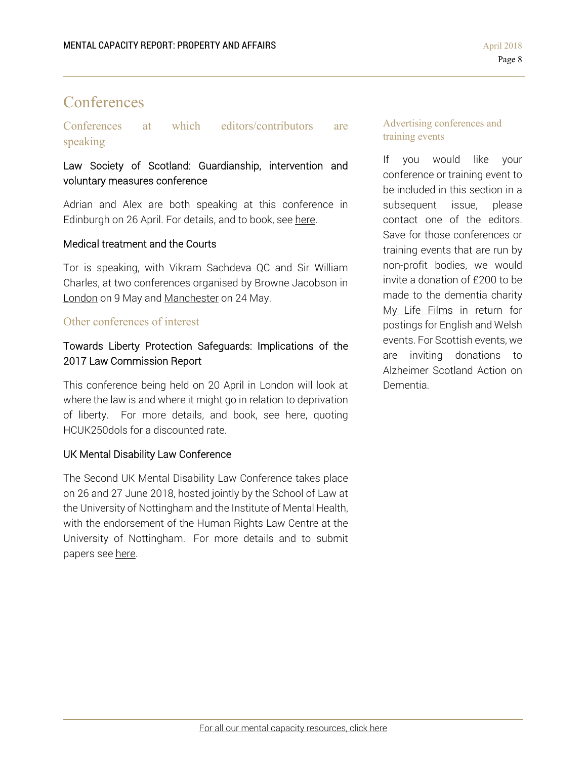# **Conferences**

## Conferences at which editors/contributors are speaking

## Law Society of Scotland: Guardianship, intervention and voluntary measures conference

Adrian and Alex are both speaking at this conference in Edinburgh on 26 April. For details, and to book, see here.

### Medical treatment and the Courts

Tor is speaking, with Vikram Sachdeva QC and Sir William Charles, at two conferences organised by Browne Jacobson in London on 9 May and Manchester on 24 May.

### Other conferences of interest

## Towards Liberty Protection Safeguards: Implications of the 2017 Law Commission Report

This conference being held on 20 April in London will look at where the law is and where it might go in relation to deprivation of liberty. For more details, and book, see here, quoting HCUK250dols for a discounted rate.

### UK Mental Disability Law Conference

The Second UK Mental Disability Law Conference takes place on 26 and 27 June 2018, hosted jointly by the School of Law at the University of Nottingham and the Institute of Mental Health, with the endorsement of the Human Rights Law Centre at the University of Nottingham. For more details and to submit papers see here.

### Advertising conferences and training events

If you would like your conference or training event to be included in this section in a subsequent issue, please contact one of the editors. Save for those conferences or training events that are run by non-profit bodies, we would invite a donation of £200 to be made to the dementia charity My Life Films in return for postings for English and Welsh events. For Scottish events, we are inviting donations to Alzheimer Scotland Action on Dementia.